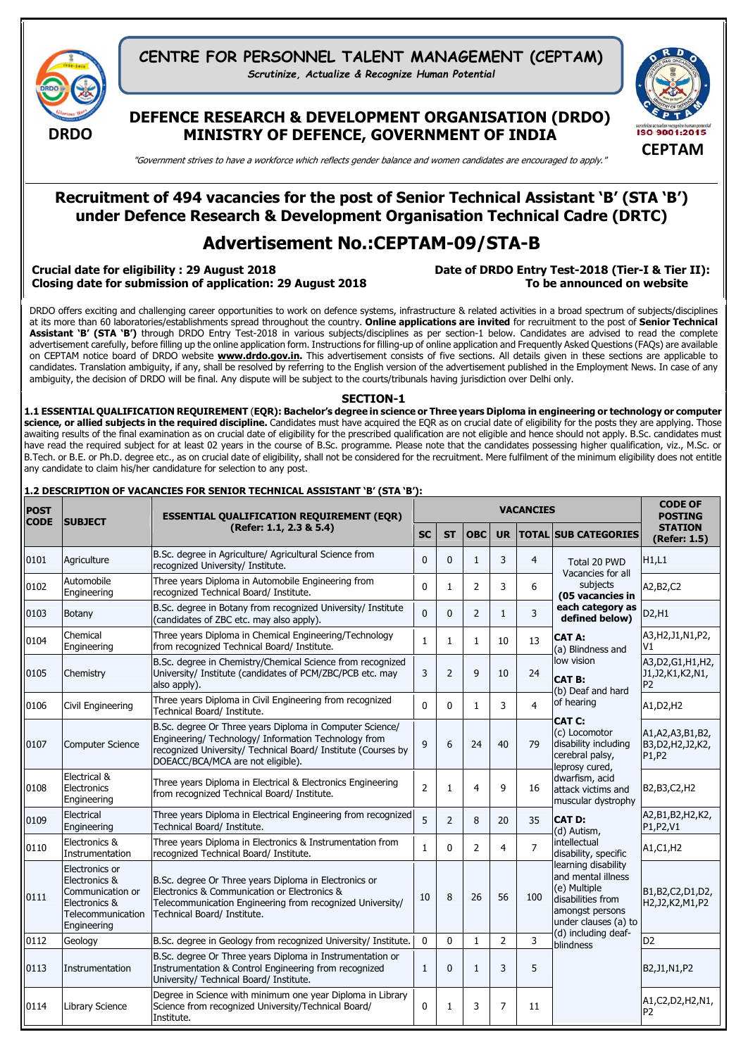

CENTRE FOR PERSONNEL TALENT MANAGEMENT (CEPTAM) *Scrutinize, Actualize & Recognize Human Potential*

DEFENCE RESEARCH & DEVELOPMENT ORGANISATION (DRDO) MINISTRY OF DEFENCE, GOVERNMENT OF INDIA



"Government strives to have a workforce which reflects gender balance and women candidates are encouraged to apply."

## Recruitment of 494 vacancies for the post of Senior Technical Assistant 'B' (STA 'B') under Defence Research & Development Organisation Technical Cadre (DRTC)

# Advertisement No.:CEPTAM-09/STA-B

### Crucial date for eligibility : 29 August 2018 **Date of DRDO Entry Test-2018 (Tier-I & Tier II**): Closing date for submission of application: 29 August 2018 To be announced on website

DRDO offers exciting and challenging career opportunities to work on defence systems, infrastructure & related activities in a broad spectrum of subjects/disciplines at its more than 60 laboratories/establishments spread throughout the country. Online applications are invited for recruitment to the post of Senior Technical Assistant 'B' (STA 'B') through DRDO Entry Test-2018 in various subjects/disciplines as per section-1 below. Candidates are advised to read the complete advertisement carefully, before filling up the online application form. Instructions for filling-up of online application and Frequently Asked Questions (FAQs) are available on CEPTAM notice board of DRDO website **[www.drdo.gov.in](http://www.drdo.gov.in/)**. This advertisement consists of five sections. All details given in these sections are applicable to candidates. Translation ambiguity, if any, shall be resolved by referring to the English version of the advertisement published in the Employment News. In case of any ambiguity, the decision of DRDO will be final. Any dispute will be subject to the courts/tribunals having jurisdiction over Delhi only.

#### SECTION-1

1.1 ESSENTIAL QUALIFICATION REQUIREMENT (EQR): Bachelor's degree in science or Three years Diploma in engineering or technology or computer science, or allied subjects in the required discipline. Candidates must have acquired the EQR as on crucial date of eligibility for the posts they are applying. Those awaiting results of the final examination as on crucial date of eligibility for the prescribed qualification are not eligible and hence should not apply. B.Sc. candidates must have read the required subject for at least 02 years in the course of B.Sc. programme. Please note that the candidates possessing higher qualification, viz., M.Sc. or B.Tech. or B.E. or Ph.D. degree etc., as on crucial date of eligibility, shall not be considered for the recruitment. Mere fulfilment of the minimum eligibility does not entitle any candidate to claim his/her candidature for selection to any post.

## 1.2 DESCRIPTION OF VACANCIES FOR SENIOR TECHNICAL ASSISTANT 'B' (STA 'B'):

| <b>POST</b><br><b>CODE</b> | <b>SUBJECT</b>                                                                                           | <b>ESSENTIAL QUALIFICATION REQUIREMENT (EQR)</b>                                                                                                                                                                       |                |                | <b>CODE OF</b><br><b>POSTING</b> |              |                |                                                                                                                                                  |                                                              |
|----------------------------|----------------------------------------------------------------------------------------------------------|------------------------------------------------------------------------------------------------------------------------------------------------------------------------------------------------------------------------|----------------|----------------|----------------------------------|--------------|----------------|--------------------------------------------------------------------------------------------------------------------------------------------------|--------------------------------------------------------------|
|                            |                                                                                                          | (Refer: 1.1, 2.3 & 5.4)                                                                                                                                                                                                |                | <b>ST</b>      | <b>OBC</b>                       | <b>UR</b>    |                | <b>TOTAL SUB CATEGORIES</b>                                                                                                                      | <b>STATION</b><br>(Refer: 1.5)                               |
| 0101                       | Agriculture                                                                                              | B.Sc. degree in Agriculture/ Agricultural Science from<br>recognized University/ Institute.                                                                                                                            | $\Omega$       | $\mathbf{0}$   | $\mathbf{1}$                     | 3            | $\overline{4}$ | Total 20 PWD<br>Vacancies for all                                                                                                                | H1,L1                                                        |
| 0102                       | Automobile<br>Engineering                                                                                | Three years Diploma in Automobile Engineering from<br>recognized Technical Board/ Institute.                                                                                                                           | $\Omega$       | $\mathbf{1}$   | $\overline{2}$                   | 3            | 6              | subjects<br>(05 vacancies in                                                                                                                     | A2, B2, C2                                                   |
| 0103                       | Botany                                                                                                   | B.Sc. degree in Botany from recognized University/ Institute<br>(candidates of ZBC etc. may also apply).                                                                                                               | $\Omega$       | $\mathbf{0}$   | $\overline{2}$                   | $\mathbf{1}$ | 3              | each category as<br>defined below)                                                                                                               | D2, H1                                                       |
| 0104                       | Chemical<br>Engineering                                                                                  | Three years Diploma in Chemical Engineering/Technology<br>from recognized Technical Board/ Institute.                                                                                                                  | $\mathbf{1}$   | 1              | 1                                | 10           | 13             | CAT A:<br>(a) Blindness and                                                                                                                      | A3, H2, J1, N1, P2,<br>V1                                    |
| 0105                       | Chemistry                                                                                                | B.Sc. degree in Chemistry/Chemical Science from recognized<br>University/ Institute (candidates of PCM/ZBC/PCB etc. may<br>also apply).                                                                                | 3              | $\overline{2}$ | $\mathbf{q}$                     | 10           | 24             | low vision<br><b>CAT B:</b><br>(b) Deaf and hard                                                                                                 | A3, D2, G1, H1, H2,<br>J1, J2, K1, K2, N1,<br>P <sub>2</sub> |
| 0106                       | Civil Engineering                                                                                        | Three years Diploma in Civil Engineering from recognized<br>Technical Board/ Institute.                                                                                                                                | $\Omega$       | $\mathbf{0}$   | $\mathbf{1}$                     | 3            | $\overline{a}$ | of hearing                                                                                                                                       | A1, D2, H2                                                   |
| 0107                       | <b>Computer Science</b>                                                                                  | B.Sc. degree Or Three years Diploma in Computer Science/<br>Engineering/ Technology/ Information Technology from<br>recognized University/ Technical Board/ Institute (Courses by<br>DOEACC/BCA/MCA are not eligible). | 9              | 6              | 24                               | 40           | 79             | <b>CAT C:</b><br>(c) Locomotor<br>disability including<br>cerebral palsy,<br>leprosy cured,                                                      | A1, A2, A3, B1, B2,<br>B3, D2, H2, J2, K2,<br>P1, P2         |
| 0108                       | Electrical &<br>Electronics<br>Engineering                                                               | Three years Diploma in Electrical & Electronics Engineering<br>from recognized Technical Board/ Institute.                                                                                                             | $\overline{2}$ | 1              | $\overline{4}$                   | 9            | 16             | dwarfism, acid<br>attack victims and<br>muscular dystrophy                                                                                       | B2,B3,C2,H2                                                  |
| 0109                       | Electrical<br>Engineering                                                                                | Three years Diploma in Electrical Engineering from recognized<br>Technical Board/ Institute.                                                                                                                           | 5              | $\overline{2}$ | 8                                | 20           | 35             | <b>CAT D:</b><br>(d) Autism.                                                                                                                     | A2, B1, B2, H2, K2,<br>P1, P2, V1                            |
| 0110                       | Electronics &<br>Instrumentation                                                                         | Three years Diploma in Electronics & Instrumentation from<br>recognized Technical Board/ Institute.                                                                                                                    | $\mathbf{1}$   | $\mathbf{0}$   | $\overline{2}$                   | 4            | $\overline{7}$ | intellectual<br>disability, specific                                                                                                             | A1, C1, H2                                                   |
| 0111                       | Electronics or<br>Electronics &<br>Communication or<br>Electronics &<br>Telecommunication<br>Engineering | B.Sc. degree Or Three years Diploma in Electronics or<br>Electronics & Communication or Electronics &<br>Telecommunication Engineering from recognized University/<br>Technical Board/ Institute.                      | 10             | 8              | 26                               | 56           | 100            | learning disability<br>and mental illness<br>(e) Multiple<br>disabilities from<br>amongst persons<br>under clauses (a) to<br>(d) including deaf- | B1,B2,C2,D1,D2,<br>H2, J2, K2, M1, P2                        |
| 0112                       | Geology                                                                                                  | B.Sc. degree in Geology from recognized University/ Institute.                                                                                                                                                         | $\mathbf{0}$   | 0              | $\mathbf{1}$                     | 2            | $\overline{3}$ | blindness                                                                                                                                        | D <sub>2</sub>                                               |
| 0113                       | Instrumentation                                                                                          | B.Sc. degree Or Three years Diploma in Instrumentation or<br>Instrumentation & Control Engineering from recognized<br>University/ Technical Board/ Institute.                                                          | $\mathbf{1}$   | $\mathbf{0}$   | $\mathbf{1}$                     | 3            | 5              |                                                                                                                                                  | B2, J1, N1, P2                                               |
| 0114                       | <b>Library Science</b>                                                                                   | Degree in Science with minimum one year Diploma in Library<br>Science from recognized University/Technical Board/<br>Institute.                                                                                        | $\mathbf{0}$   | 1              | 3                                | 7            | 11             |                                                                                                                                                  | A1, C2, D2, H2, N1,<br>P <sub>2</sub>                        |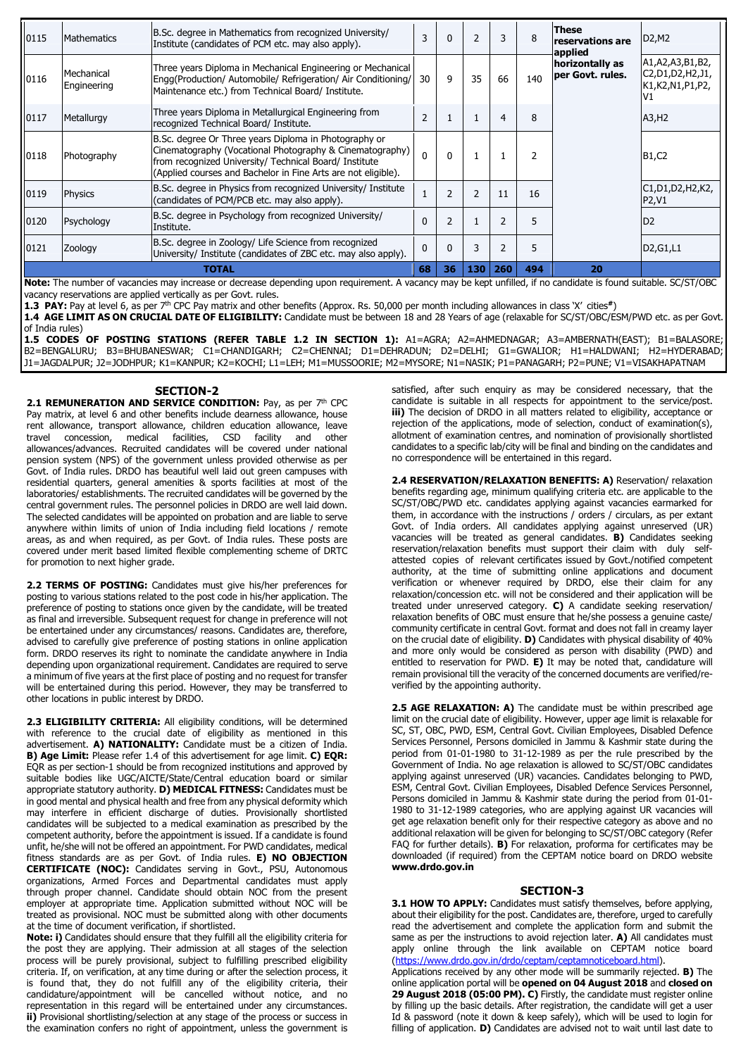| 0115  | <b>Mathematics</b>        | B.Sc. degree in Mathematics from recognized University/<br>Institute (candidates of PCM etc. may also apply).                                                                                                                                | 3        | $\Omega$                 | $\overline{2}$ | 3                        | 8   | These<br>reservations are<br>applied | D2, M2                                                                                                                  |
|-------|---------------------------|----------------------------------------------------------------------------------------------------------------------------------------------------------------------------------------------------------------------------------------------|----------|--------------------------|----------------|--------------------------|-----|--------------------------------------|-------------------------------------------------------------------------------------------------------------------------|
| 0116  | Mechanical<br>Engineering | Three years Diploma in Mechanical Engineering or Mechanical<br>Engg(Production/ Automobile/ Refrigeration/ Air Conditioning/<br>Maintenance etc.) from Technical Board/ Institute.                                                           | 30       | 9                        | 35             | 66                       | 140 | horizontally as<br>per Govt. rules.  | A1, A2, A3, B1, B2,<br>C2, D1, D2, H2, J1,<br>K1, K2, N1, P1, P2,<br>IV1                                                |
| 0117  | Metallurgy                | Three years Diploma in Metallurgical Engineering from<br>recognized Technical Board/ Institute.                                                                                                                                              |          |                          |                | 4                        | 8   |                                      | A3, H2                                                                                                                  |
| 0118  | Photography               | B.Sc. degree Or Three years Diploma in Photography or<br>Cinematography (Vocational Photography & Cinematography)<br>from recognized University/ Technical Board/ Institute<br>(Applied courses and Bachelor in Fine Arts are not eligible). | $\Omega$ | $\Omega$                 |                |                          |     |                                      | B <sub>1</sub> ,C <sub>2</sub>                                                                                          |
| 0119  | <b>Physics</b>            | B.Sc. degree in Physics from recognized University/ Institute<br>(candidates of PCM/PCB etc. may also apply).                                                                                                                                |          | $\overline{\phantom{0}}$ | $\overline{2}$ | 11                       | 16  |                                      | C <sub>1</sub> , D <sub>1</sub> , D <sub>2</sub> , H <sub>2</sub> , K <sub>2</sub> ,<br>P <sub>2</sub> , V <sub>1</sub> |
| 0120  | Psychology                | B.Sc. degree in Psychology from recognized University/<br>Institute.                                                                                                                                                                         |          | $\overline{2}$           |                | $\overline{\phantom{a}}$ | 5   |                                      | D <sub>2</sub>                                                                                                          |
| 0121  | Zoology                   | B.Sc. degree in Zoology/ Life Science from recognized<br>University/ Institute (candidates of ZBC etc. may also apply).                                                                                                                      | $\Omega$ | $\Omega$                 | 3              | $\overline{\phantom{a}}$ | 5   |                                      | D <sub>2</sub> , G <sub>1</sub> , L <sub>1</sub>                                                                        |
| TOTAL |                           |                                                                                                                                                                                                                                              |          | 36                       | 130            | 260                      | 494 | 20                                   |                                                                                                                         |

Note: The number of vacancies may increase or decrease depending upon requirement. A vacancy may be kept unfilled, if no candidate is found suitable. SC/ST/OBC vacancy reservations are applied vertically as per Govt. rules.

1.3 PAY: Pay at level 6, as per 7<sup>th</sup> CPC Pay matrix and other benefits (Approx. Rs. 50,000 per month including allowances in class 'X' cities\*)

1.4 AGE LIMIT AS ON CRUCIAL DATE OF ELIGIBILITY: Candidate must be between 18 and 28 Years of age (relaxable for SC/ST/OBC/ESM/PWD etc. as per Govt. of India rules)

1.5 CODES OF POSTING STATIONS (REFER TABLE 1.2 IN SECTION 1): A1=AGRA; A2=AHMEDNAGAR; A3=AMBERNATH(EAST); B1=BALASORE; B2=BENGALURU; B3=BHUBANESWAR; C1=CHANDIGARH; C2=CHENNAI; D1=DEHRADUN; D2=DELHI; G1=GWALIOR; H1=HALDWANI; H2=HYDERABAD; J1=JAGDALPUR; J2=JODHPUR; K1=KANPUR; K2=KOCHI; L1=LEH; M1=MUSSOORIE; M2=MYSORE; N1=NASIK; P1=PANAGARH; P2=PUNE; V1=VISAKHAPATNAM

#### SECTION-2

2.1 REMUNERATION AND SERVICE CONDITION: Pay, as per 7<sup>th</sup> CPC Pay matrix, at level 6 and other benefits include dearness allowance, house rent allowance, transport allowance, children education allowance, leave travel concession, medical facilities, CSD facility and other allowances/advances. Recruited candidates will be covered under national pension system (NPS) of the government unless provided otherwise as per Govt. of India rules. DRDO has beautiful well laid out green campuses with residential quarters, general amenities & sports facilities at most of the laboratories/ establishments. The recruited candidates will be governed by the central government rules. The personnel policies in DRDO are well laid down. The selected candidates will be appointed on probation and are liable to serve anywhere within limits of union of India including field locations / remote areas, as and when required, as per Govt. of India rules. These posts are covered under merit based limited flexible complementing scheme of DRTC for promotion to next higher grade.

2.2 TERMS OF POSTING: Candidates must give his/her preferences for posting to various stations related to the post code in his/her application. The preference of posting to stations once given by the candidate, will be treated as final and irreversible. Subsequent request for change in preference will not be entertained under any circumstances/ reasons. Candidates are, therefore, advised to carefully give preference of posting stations in online application form. DRDO reserves its right to nominate the candidate anywhere in India depending upon organizational requirement. Candidates are required to serve a minimum of five years at the first place of posting and no request for transfer will be entertained during this period. However, they may be transferred to other locations in public interest by DRDO.

2.3 ELIGIBILITY CRITERIA: All eligibility conditions, will be determined with reference to the crucial date of eligibility as mentioned in this advertisement. A) NATIONALITY: Candidate must be a citizen of India. B) Age Limit: Please refer 1.4 of this advertisement for age limit. C) EQR: EQR as per section-1 should be from recognized institutions and approved by suitable bodies like UGC/AICTE/State/Central education board or similar appropriate statutory authority. D) MEDICAL FITNESS: Candidates must be in good mental and physical health and free from any physical deformity which may interfere in efficient discharge of duties. Provisionally shortlisted candidates will be subjected to a medical examination as prescribed by the competent authority, before the appointment is issued. If a candidate is found unfit, he/she will not be offered an appointment. For PWD candidates, medical fitness standards are as per Govt. of India rules. E) NO OBJECTION CERTIFICATE (NOC): Candidates serving in Govt., PSU, Autonomous organizations, Armed Forces and Departmental candidates must apply through proper channel. Candidate should obtain NOC from the present employer at appropriate time. Application submitted without NOC will be treated as provisional. NOC must be submitted along with other documents at the time of document verification, if shortlisted.

Note: i) Candidates should ensure that they fulfill all the eligibility criteria for the post they are applying. Their admission at all stages of the selection process will be purely provisional, subject to fulfilling prescribed eligibility criteria. If, on verification, at any time during or after the selection process, it is found that, they do not fulfill any of the eligibility criteria, their candidature/appointment will be cancelled without notice, and no representation in this regard will be entertained under any circumstances. ii) Provisional shortlisting/selection at any stage of the process or success in the examination confers no right of appointment, unless the government is satisfied, after such enquiry as may be considered necessary, that the candidate is suitable in all respects for appointment to the service/post. iii) The decision of DRDO in all matters related to eligibility, acceptance or rejection of the applications, mode of selection, conduct of examination(s), allotment of examination centres, and nomination of provisionally shortlisted candidates to a specific lab/city will be final and binding on the candidates and no correspondence will be entertained in this regard.

2.4 RESERVATION/RELAXATION BENEFITS: A) Reservation/ relaxation benefits regarding age, minimum qualifying criteria etc. are applicable to the SC/ST/OBC/PWD etc. candidates applying against vacancies earmarked for them, in accordance with the instructions / orders / circulars, as per extant Govt. of India orders. All candidates applying against unreserved (UR) vacancies will be treated as general candidates. B) Candidates seeking reservation/relaxation benefits must support their claim with duly selfattested copies of relevant certificates issued by Govt./notified competent authority, at the time of submitting online applications and document verification or whenever required by DRDO, else their claim for any relaxation/concession etc. will not be considered and their application will be treated under unreserved category. C) A candidate seeking reservation/ relaxation benefits of OBC must ensure that he/she possess a genuine caste/ community certificate in central Govt. format and does not fall in creamy layer on the crucial date of eligibility. D) Candidates with physical disability of 40% and more only would be considered as person with disability (PWD) and entitled to reservation for PWD. E) It may be noted that, candidature will remain provisional till the veracity of the concerned documents are verified/reverified by the appointing authority.

2.5 AGE RELAXATION: A) The candidate must be within prescribed age limit on the crucial date of eligibility. However, upper age limit is relaxable for SC, ST, OBC, PWD, ESM, Central Govt. Civilian Employees, Disabled Defence Services Personnel, Persons domiciled in Jammu & Kashmir state during the period from 01-01-1980 to 31-12-1989 as per the rule prescribed by the Government of India. No age relaxation is allowed to SC/ST/OBC candidates applying against unreserved (UR) vacancies. Candidates belonging to PWD, ESM, Central Govt. Civilian Employees, Disabled Defence Services Personnel, Persons domiciled in Jammu & Kashmir state during the period from 01-01- 1980 to 31-12-1989 categories, who are applying against UR vacancies will get age relaxation benefit only for their respective category as above and no additional relaxation will be given for belonging to SC/ST/OBC category (Refer FAQ for further details). B) For relaxation, proforma for certificates may be downloaded (if required) from the CEPTAM notice board on DRDO website [www.drdo.gov.in](http://www.drdo.gov.in/)

#### SECTION-3

3.1 HOW TO APPLY: Candidates must satisfy themselves, before applying, about their eligibility for the post. Candidates are, therefore, urged to carefully read the advertisement and complete the application form and submit the same as per the instructions to avoid rejection later. A) All candidates must apply online through the link available on CEPTAM notice board (https://www.drdo.gov.in/drdo/ceptam/ceptamnoticeboard.html).

Applications received by any other mode will be summarily rejected. B) The online application portal will be opened on 04 August 2018 and closed on 29 August 2018 (05:00 PM). C) Firstly, the candidate must register online by filling up the basic details. After registration, the candidate will get a user Id & password (note it down & keep safely), which will be used to login for filling of application. D) Candidates are advised not to wait until last date to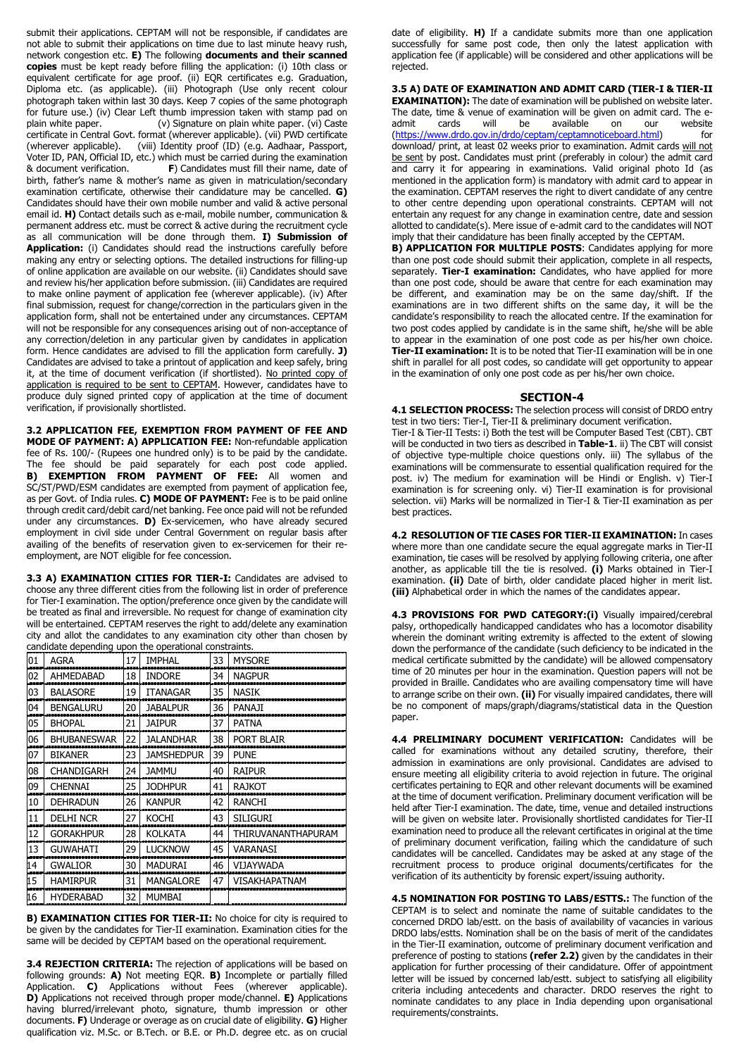submit their applications. CEPTAM will not be responsible, if candidates are not able to submit their applications on time due to last minute heavy rush, network congestion etc. E) The following documents and their scanned copies must be kept ready before filling the application: (i) 10th class or equivalent certificate for age proof. (ii) EQR certificates e.g. Graduation, Diploma etc. (as applicable). (iii) Photograph (Use only recent colour photograph taken within last 30 days. Keep 7 copies of the same photograph for future use.) (iv) Clear Left thumb impression taken with stamp pad on plain white paper. (v) Signature on plain white paper. (vi) Caste certificate in Central Govt. format (wherever applicable). (vii) PWD certificate (wherever applicable). (viii) Identity proof (ID) (e.g. Aadhaar, Passport, Voter ID, PAN, Official ID, etc.) which must be carried during the examination & document verification. **F**) Candidates must fill their name, date of F) Candidates must fill their name, date of birth, father's name & mother's name as given in matriculation/secondary examination certificate, otherwise their candidature may be cancelled. G) Candidates should have their own mobile number and valid & active personal email id. H) Contact details such as e-mail, mobile number, communication & permanent address etc. must be correct & active during the recruitment cycle as all communication will be done through them. I) Submission of Application: (i) Candidates should read the instructions carefully before making any entry or selecting options. The detailed instructions for filling-up of online application are available on our website. (ii) Candidates should save and review his/her application before submission. (iii) Candidates are required to make online payment of application fee (wherever applicable). (iv) After

final submission, request for change/correction in the particulars given in the application form, shall not be entertained under any circumstances. CEPTAM will not be responsible for any consequences arising out of non-acceptance of any correction/deletion in any particular given by candidates in application form. Hence candidates are advised to fill the application form carefully. J) Candidates are advised to take a printout of application and keep safely, bring it, at the time of document verification (if shortlisted). No printed copy of application is required to be sent to CEPTAM. However, candidates have to produce duly signed printed copy of application at the time of document verification, if provisionally shortlisted.

3.2 APPLICATION FEE, EXEMPTION FROM PAYMENT OF FEE AND MODE OF PAYMENT: A) APPLICATION FEE: Non-refundable application fee of Rs. 100/- (Rupees one hundred only) is to be paid by the candidate. The fee should be paid separately for each post code applied. B) EXEMPTION FROM PAYMENT OF FEE: All women and SC/ST/PWD/ESM candidates are exempted from payment of application fee, as per Govt. of India rules. C) MODE OF PAYMENT: Fee is to be paid online through credit card/debit card/net banking. Fee once paid will not be refunded under any circumstances. D) Ex-servicemen, who have already secured employment in civil side under Central Government on regular basis after availing of the benefits of reservation given to ex-servicemen for their reemployment, are NOT eligible for fee concession.

3.3 A) EXAMINATION CITIES FOR TIER-I: Candidates are advised to choose any three different cities from the following list in order of preference for Tier-I examination. The option/preference once given by the candidate will be treated as final and irreversible. No request for change of examination city will be entertained. CEPTAM reserves the right to add/delete any examination city and allot the candidates to any examination city other than chosen by candidate depending upon the operational constraints.

|    | uutt utpenung upon<br>the operational constraints. |    |                   |    |                    |  |  |  |  |
|----|----------------------------------------------------|----|-------------------|----|--------------------|--|--|--|--|
| 01 | <b>AGRA</b>                                        | 17 | <b>IMPHAL</b>     | 33 | <b>MYSORE</b>      |  |  |  |  |
| 02 | AHMEDABAD                                          | 18 | <b>INDORE</b>     | 34 | <b>NAGPUR</b>      |  |  |  |  |
| 03 | <b>BALASORE</b>                                    | 19 | <b>ITANAGAR</b>   | 35 | <b>NASTK</b>       |  |  |  |  |
| 04 | <b>BENGALURU</b>                                   | 20 | <b>JABALPUR</b>   | 36 | <b>PANAJI</b>      |  |  |  |  |
| 05 | <b>BHOPAL</b>                                      | 21 | <b>JAIPUR</b>     | 37 | <b>PATNA</b>       |  |  |  |  |
| 06 | <b>BHUBANESWAR</b>                                 | 22 | <b>JALANDHAR</b>  | 38 | PORT BLAIR         |  |  |  |  |
| 07 | <b>BIKANFR</b>                                     | 23 | <b>JAMSHEDPUR</b> | 39 | <b>PUNF</b>        |  |  |  |  |
| 08 | CHANDIGARH                                         | 24 | <b>JAMMU</b>      | 40 | <b>RAIPUR</b>      |  |  |  |  |
| 09 | <b>CHENNAI</b>                                     | 25 | <b>JODHPUR</b>    | 41 | RAJKOT             |  |  |  |  |
| 10 | <b>DEHRADUN</b>                                    | 26 | <b>KANPUR</b>     | 42 | <b>RANCHI</b>      |  |  |  |  |
| 11 | <b>DELHI NCR</b>                                   | 27 | <b>KOCHI</b>      | 43 | <b>SILIGURI</b>    |  |  |  |  |
| 12 | <b>GORAKHPUR</b>                                   | 28 | <b>KOLKATA</b>    | 44 | THIRUVANANTHAPURAM |  |  |  |  |
| 13 | <b>GUWAHATI</b>                                    | 29 | <b>LUCKNOW</b>    | 45 | <b>VARANASI</b>    |  |  |  |  |
| 14 | <b>GWALIOR</b>                                     | 30 | <b>MADURAI</b>    | 46 | VIJAYWADA          |  |  |  |  |
| 15 | <b>HAMIRPUR</b>                                    | 31 | MANGALORE         | 47 | VISAKHAPATNAM      |  |  |  |  |
| 16 | <b>HYDERABAD</b>                                   | 32 | <b>MUMBAI</b>     |    |                    |  |  |  |  |

B) EXAMINATION CITIES FOR TIER-II: No choice for city is required to be given by the candidates for Tier-II examination. Examination cities for the same will be decided by CEPTAM based on the operational requirement.

3.4 REJECTION CRITERIA: The rejection of applications will be based on following grounds: A) Not meeting EQR. B) Incomplete or partially filled Application. **C)** Applications without Fees (wherever applicable). D) Applications not received through proper mode/channel. E) Applications having blurred/irrelevant photo, signature, thumb impression or other documents. F) Underage or overage as on crucial date of eligibility. G) Higher qualification viz. M.Sc. or B.Tech. or B.E. or Ph.D. degree etc. as on crucial

date of eligibility. H) If a candidate submits more than one application successfully for same post code, then only the latest application with application fee (if applicable) will be considered and other applications will be rejected.

3.5 A) DATE OF EXAMINATION AND ADMIT CARD (TIER-I & TIER-II EXAMINATION): The date of examination will be published on website later. The date, time & venue of examination will be given on admit card. The e-<br>admit cards will be available on our website admit cards will be available on our (https://www.drdo.gov.in/drdo/ceptam/ceptamnoticeboard.html) for download/ print, at least 02 weeks prior to examination. Admit cards will not be sent by post. Candidates must print (preferably in colour) the admit card and carry it for appearing in examinations. Valid original photo Id (as mentioned in the application form) is mandatory with admit card to appear in the examination. CEPTAM reserves the right to divert candidate of any centre to other centre depending upon operational constraints. CEPTAM will not entertain any request for any change in examination centre, date and session allotted to candidate(s). Mere issue of e-admit card to the candidates will NOT imply that their candidature has been finally accepted by the CEPTAM.

B) APPLICATION FOR MULTIPLE POSTS: Candidates applying for more than one post code should submit their application, complete in all respects, separately. Tier-I examination: Candidates, who have applied for more than one post code, should be aware that centre for each examination may be different, and examination may be on the same day/shift. If the examinations are in two different shifts on the same day, it will be the candidate's responsibility to reach the allocated centre. If the examination for two post codes applied by candidate is in the same shift, he/she will be able to appear in the examination of one post code as per his/her own choice. Tier-II examination: It is to be noted that Tier-II examination will be in one shift in parallel for all post codes, so candidate will get opportunity to appear in the examination of only one post code as per his/her own choice.

#### SECTION-4

4.1 SELECTION PROCESS: The selection process will consist of DRDO entry test in two tiers: Tier-I, Tier-II & preliminary document verification.

Tier-I & Tier-II Tests: i) Both the test will be Computer Based Test (CBT). CBT will be conducted in two tiers as described in Table-1. ii) The CBT will consist of objective type-multiple choice questions only. iii) The syllabus of the examinations will be commensurate to essential qualification required for the post. iv) The medium for examination will be Hindi or English. v) Tier-I examination is for screening only. vi) Tier-II examination is for provisional selection. vii) Marks will be normalized in Tier-I & Tier-II examination as per best practices.

4.2 RESOLUTION OF TIE CASES FOR TIER-II EXAMINATION: In cases where more than one candidate secure the equal aggregate marks in Tier-II examination, tie cases will be resolved by applying following criteria, one after another, as applicable till the tie is resolved. (i) Marks obtained in Tier-I examination. (ii) Date of birth, older candidate placed higher in merit list. (iii) Alphabetical order in which the names of the candidates appear.

4.3 PROVISIONS FOR PWD CATEGORY:(i) Visually impaired/cerebral palsy, orthopedically handicapped candidates who has a locomotor disability wherein the dominant writing extremity is affected to the extent of slowing down the performance of the candidate (such deficiency to be indicated in the medical certificate submitted by the candidate) will be allowed compensatory time of 20 minutes per hour in the examination. Question papers will not be provided in Braille. Candidates who are availing compensatory time will have to arrange scribe on their own. (ii) For visually impaired candidates, there will be no component of maps/graph/diagrams/statistical data in the Question paper.

4.4 PRELIMINARY DOCUMENT VERIFICATION: Candidates will be called for examinations without any detailed scrutiny, therefore, their admission in examinations are only provisional. Candidates are advised to ensure meeting all eligibility criteria to avoid rejection in future. The original certificates pertaining to EQR and other relevant documents will be examined at the time of document verification. Preliminary document verification will be held after Tier-I examination. The date, time, venue and detailed instructions will be given on website later. Provisionally shortlisted candidates for Tier-II examination need to produce all the relevant certificates in original at the time of preliminary document verification, failing which the candidature of such candidates will be cancelled. Candidates may be asked at any stage of the recruitment process to produce original documents/certificates for the verification of its authenticity by forensic expert/issuing authority.

4.5 NOMINATION FOR POSTING TO LABS/ESTTS.: The function of the CEPTAM is to select and nominate the name of suitable candidates to the concerned DRDO lab/estt. on the basis of availability of vacancies in various DRDO labs/estts. Nomination shall be on the basis of merit of the candidates in the Tier-II examination, outcome of preliminary document verification and preference of posting to stations (refer 2.2) given by the candidates in their application for further processing of their candidature. Offer of appointment letter will be issued by concerned lab/estt. subject to satisfying all eligibility criteria including antecedents and character. DRDO reserves the right to nominate candidates to any place in India depending upon organisational requirements/constraints.